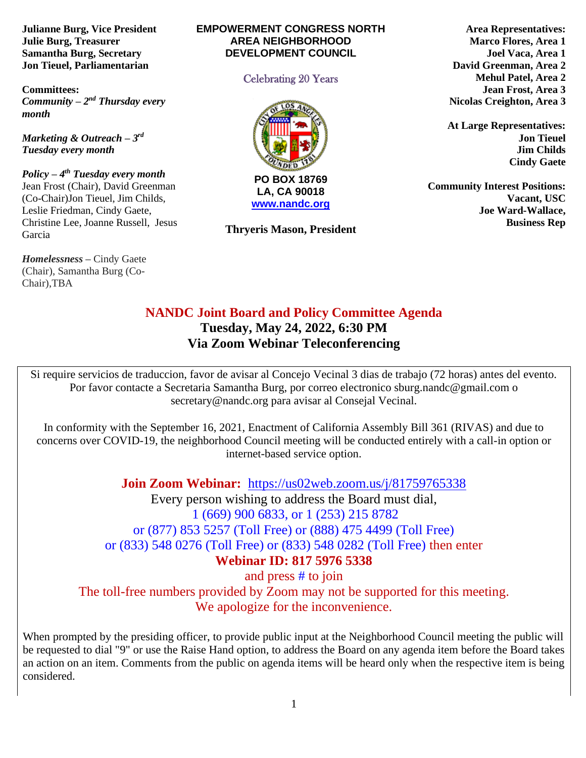**Julianne Burg, Vice President Julie Burg, Treasurer Samantha Burg, Secretary Jon Tieuel, Parliamentarian**

**Committees:**  *Community – 2<sup>nd</sup> Thursday every month* 

*Marketing & Outreach – 3 rd Tuesday every month*

*Policy – 4 th Tuesday every month*  Jean Frost (Chair), David Greenman (Co-Chair)Jon Tieuel, Jim Childs, Leslie Friedman, Cindy Gaete, Christine Lee, Joanne Russell, Jesus Garcia

*Homelessness* **–** Cindy Gaete (Chair), Samantha Burg (Co-Chair),TBA

#### **EMPOWERMENT CONGRESS NORTH AREA NEIGHBORHOOD DEVELOPMENT COUNCIL**

#### Celebrating 20 Years



**LA, CA 90018 [www.nandc.org](http://www.nandc.org/)**

**Thryeris Mason, President**

**Area Representatives: Marco Flores, Area 1 Joel Vaca, Area 1 David Greenman, Area 2 Mehul Patel, Area 2 Jean Frost, Area 3 Nicolas Creighton, Area 3**

**At Large Representatives: Jon Tieuel Jim Childs Cindy Gaete**

**Community Interest Positions: Vacant, USC Joe Ward-Wallace, Business Rep**

# **NANDC Joint Board and Policy Committee Agenda Tuesday, May 24, 2022, 6:30 PM Via Zoom Webinar Teleconferencing**

Si require servicios de traduccion, favor de avisar al Concejo Vecinal 3 dias de trabajo (72 horas) antes del evento. Por favor contacte a Secretaria Samantha Burg, por correo electronico sburg.nandc@gmail.com o secretary@nandc.org para avisar al Consejal Vecinal.

In conformity with the September 16, 2021, Enactment of California Assembly Bill 361 (RIVAS) and due to concerns over COVID-19, the neighborhood Council meeting will be conducted entirely with a call-in option or internet-based service option.

**Join Zoom Webinar:** <https://us02web.zoom.us/j/81759765338>

Every person wishing to address the Board must dial, 1 (669) 900 6833, or 1 (253) 215 8782 or (877) 853 5257 (Toll Free) or (888) 475 4499 (Toll Free) or (833) 548 0276 (Toll Free) or (833) 548 0282 (Toll Free) then enter **Webinar ID: 817 5976 5338**

and press # to join The toll-free numbers provided by Zoom may not be supported for this meeting. We apologize for the inconvenience.

When prompted by the presiding officer, to provide public input at the Neighborhood Council meeting the public will be requested to dial "9" or use the Raise Hand option, to address the Board on any agenda item before the Board takes an action on an item. Comments from the public on agenda items will be heard only when the respective item is being considered.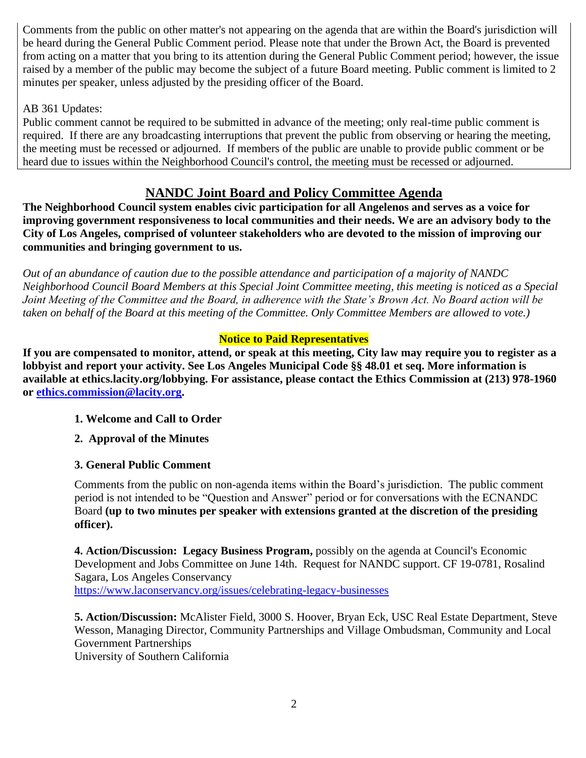Comments from the public on other matter's not appearing on the agenda that are within the Board's jurisdiction will be heard during the General Public Comment period. Please note that under the Brown Act, the Board is prevented from acting on a matter that you bring to its attention during the General Public Comment period; however, the issue raised by a member of the public may become the subject of a future Board meeting. Public comment is limited to 2 minutes per speaker, unless adjusted by the presiding officer of the Board.

## AB 361 Updates:

Public comment cannot be required to be submitted in advance of the meeting; only real-time public comment is required. If there are any broadcasting interruptions that prevent the public from observing or hearing the meeting, the meeting must be recessed or adjourned. If members of the public are unable to provide public comment or be heard due to issues within the Neighborhood Council's control, the meeting must be recessed or adjourned.

## **NANDC Joint Board and Policy Committee Agenda**

**The Neighborhood Council system enables civic participation for all Angelenos and serves as a voice for improving government responsiveness to local communities and their needs. We are an advisory body to the City of Los Angeles, comprised of volunteer stakeholders who are devoted to the mission of improving our communities and bringing government to us.**

*Out of an abundance of caution due to the possible attendance and participation of a majority of NANDC Neighborhood Council Board Members at this Special Joint Committee meeting, this meeting is noticed as a Special Joint Meeting of the Committee and the Board, in adherence with the State's Brown Act. No Board action will be taken on behalf of the Board at this meeting of the Committee. Only Committee Members are allowed to vote.)*

## **Notice to Paid Representatives**

**If you are compensated to monitor, attend, or speak at this meeting, City law may require you to register as a lobbyist and report your activity. See Los Angeles Municipal Code §§ 48.01 et seq. More information is available at ethics.lacity.org/lobbying. For assistance, please contact the Ethics Commission at (213) 978-1960 or [ethics.commission@lacity.org.](mailto:ethics.commission@lacity.org)**

### **1. Welcome and Call to Order**

**2. Approval of the Minutes**

## **3. General Public Comment**

Comments from the public on non-agenda items within the Board's jurisdiction. The public comment period is not intended to be "Question and Answer" period or for conversations with the ECNANDC Board **(up to two minutes per speaker with extensions granted at the discretion of the presiding officer).**

**4. Action/Discussion: Legacy Business Program,** possibly on the agenda at Council's Economic Development and Jobs Committee on June 14th. Request for NANDC support. CF 19-0781, Rosalind Sagara, Los Angeles Conservancy

<https://www.laconservancy.org/issues/celebrating-legacy-businesses>

**5. Action/Discussion:** McAlister Field, 3000 S. Hoover, Bryan Eck, USC Real Estate Department, Steve Wesson, Managing Director, Community Partnerships and Village Ombudsman, Community and Local Government Partnerships

University of Southern California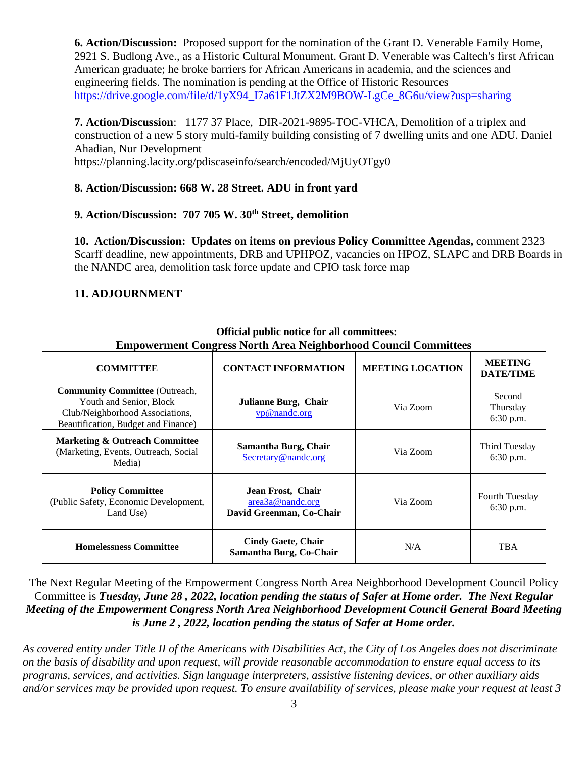**6. Action/Discussion:** Proposed support for the nomination of the Grant D. Venerable Family Home, 2921 S. Budlong Ave., as a Historic Cultural Monument. Grant D. Venerable was Caltech's first African American graduate; he broke barriers for African Americans in academia, and the sciences and engineering fields. The nomination is pending at the Office of Historic Resources [https://drive.google.com/file/d/1yX94\\_I7a61F1JtZX2M9BOW-LgCe\\_8G6u/view?usp=sharing](https://drive.google.com/file/d/1yX94_I7a61F1JtZX2M9BOW-LgCe_8G6u/view?usp=sharing)

**7. Action/Discussion**: 1177 37 Place, DIR-2021-9895-TOC-VHCA, Demolition of a triplex and construction of a new 5 story multi-family building consisting of 7 dwelling units and one ADU. Daniel Ahadian, Nur Development

https://planning.lacity.org/pdiscaseinfo/search/encoded/MjUyOTgy0

### **8. Action/Discussion: 668 W. 28 Street. ADU in front yard**

## **9. Action/Discussion: 707 705 W. 30th Street, demolition**

**10. Action/Discussion: Updates on items on previous Policy Committee Agendas,** comment 2323 Scarff deadline, new appointments, DRB and UPHPOZ, vacancies on HPOZ, SLAPC and DRB Boards in the NANDC area, demolition task force update and CPIO task force map

#### **11. ADJOURNMENT**

| Official public houce for an committees:                                                                                                   |                                                                   |                         |                                    |
|--------------------------------------------------------------------------------------------------------------------------------------------|-------------------------------------------------------------------|-------------------------|------------------------------------|
| <b>Empowerment Congress North Area Neighborhood Council Committees</b>                                                                     |                                                                   |                         |                                    |
| <b>COMMITTEE</b>                                                                                                                           | <b>CONTACT INFORMATION</b>                                        | <b>MEETING LOCATION</b> | <b>MEETING</b><br><b>DATE/TIME</b> |
| <b>Community Committee</b> (Outreach,<br>Youth and Senior, Block<br>Club/Neighborhood Associations,<br>Beautification, Budget and Finance) | Julianne Burg, Chair<br>vp@nandc.org                              | Via Zoom                | Second<br>Thursday<br>6:30 p.m.    |
| <b>Marketing &amp; Outreach Committee</b><br>(Marketing, Events, Outreach, Social<br>Media)                                                | Samantha Burg, Chair<br>Secretary@nandc.org                       | Via Zoom                | Third Tuesday<br>6:30 p.m.         |
| <b>Policy Committee</b><br>(Public Safety, Economic Development,<br>Land Use)                                                              | Jean Frost, Chair<br>area3a@nandc.org<br>David Greenman, Co-Chair | Via Zoom                | Fourth Tuesday<br>$6:30$ p.m.      |
| <b>Homelessness Committee</b>                                                                                                              | <b>Cindy Gaete, Chair</b><br>Samantha Burg, Co-Chair              | N/A                     | <b>TBA</b>                         |

**Official public notice for all committees:**

The Next Regular Meeting of the Empowerment Congress North Area Neighborhood Development Council Policy Committee is *Tuesday, June 28 , 2022, location pending the status of Safer at Home order. The Next Regular Meeting of the Empowerment Congress North Area Neighborhood Development Council General Board Meeting is June 2 , 2022, location pending the status of Safer at Home order.* 

*As covered entity under Title II of the Americans with Disabilities Act, the City of Los Angeles does not discriminate on the basis of disability and upon request, will provide reasonable accommodation to ensure equal access to its programs, services, and activities. Sign language interpreters, assistive listening devices, or other auxiliary aids and/or services may be provided upon request. To ensure availability of services, please make your request at least 3*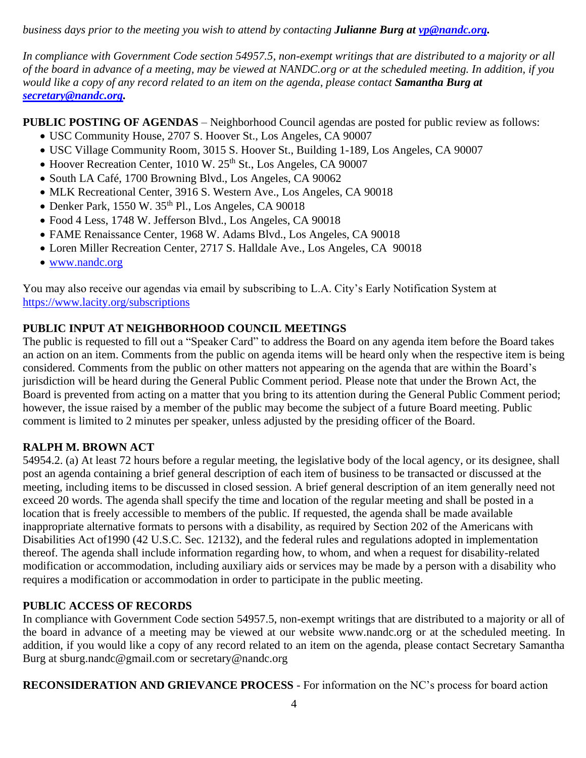*business days prior to the meeting you wish to attend by contacting Julianne Burg at [vp@nandc.org.](mailto:vp@nandc.org)*

*In compliance with Government Code section 54957.5, non-exempt writings that are distributed to a majority or all of the board in advance of a meeting, may be viewed at NANDC.org or at the scheduled meeting. In addition, if you would like a copy of any record related to an item on the agenda, please contact Samantha Burg at [secretary@nandc.org.](mailto:secretary@nandc.org)*

**PUBLIC POSTING OF AGENDAS** – Neighborhood Council agendas are posted for public review as follows:

- USC Community House, 2707 S. Hoover St., Los Angeles, CA 90007
- USC Village Community Room, 3015 S. Hoover St., Building 1-189, Los Angeles, CA 90007
- Hoover Recreation Center, 1010 W. 25<sup>th</sup> St., Los Angeles, CA 90007
- South LA Café, 1700 Browning Blvd., Los Angeles, CA 90062
- MLK Recreational Center, 3916 S. Western Ave., Los Angeles, CA 90018
- $\bullet$  Denker Park, 1550 W. 35<sup>th</sup> Pl., Los Angeles, CA 90018
- Food 4 Less, 1748 W. Jefferson Blvd., Los Angeles, CA 90018
- FAME Renaissance Center, 1968 W. Adams Blvd., Los Angeles, CA 90018
- Loren Miller Recreation Center, 2717 S. Halldale Ave., Los Angeles, CA 90018
- [www.nandc.org](http://www.nandc.org/)

You may also receive our agendas via email by subscribing to L.A. City's Early Notification System at <https://www.lacity.org/subscriptions>

## **PUBLIC INPUT AT NEIGHBORHOOD COUNCIL MEETINGS**

The public is requested to fill out a "Speaker Card" to address the Board on any agenda item before the Board takes an action on an item. Comments from the public on agenda items will be heard only when the respective item is being considered. Comments from the public on other matters not appearing on the agenda that are within the Board's jurisdiction will be heard during the General Public Comment period. Please note that under the Brown Act, the Board is prevented from acting on a matter that you bring to its attention during the General Public Comment period; however, the issue raised by a member of the public may become the subject of a future Board meeting. Public comment is limited to 2 minutes per speaker, unless adjusted by the presiding officer of the Board.

## **RALPH M. BROWN ACT**

54954.2. (a) At least 72 hours before a regular meeting, the legislative body of the local agency, or its designee, shall post an agenda containing a brief general description of each item of business to be transacted or discussed at the meeting, including items to be discussed in closed session. A brief general description of an item generally need not exceed 20 words. The agenda shall specify the time and location of the regular meeting and shall be posted in a location that is freely accessible to members of the public. If requested, the agenda shall be made available inappropriate alternative formats to persons with a disability, as required by Section 202 of the Americans with Disabilities Act of1990 (42 U.S.C. Sec. 12132), and the federal rules and regulations adopted in implementation thereof. The agenda shall include information regarding how, to whom, and when a request for disability-related modification or accommodation, including auxiliary aids or services may be made by a person with a disability who requires a modification or accommodation in order to participate in the public meeting.

## **PUBLIC ACCESS OF RECORDS**

In compliance with Government Code section 54957.5, non-exempt writings that are distributed to a majority or all of the board in advance of a meeting may be viewed at our website www.nandc.org or at the scheduled meeting. In addition, if you would like a copy of any record related to an item on the agenda, please contact Secretary Samantha Burg at sburg.nandc@gmail.com or secretary@nandc.org

**RECONSIDERATION AND GRIEVANCE PROCESS** - For information on the NC's process for board action